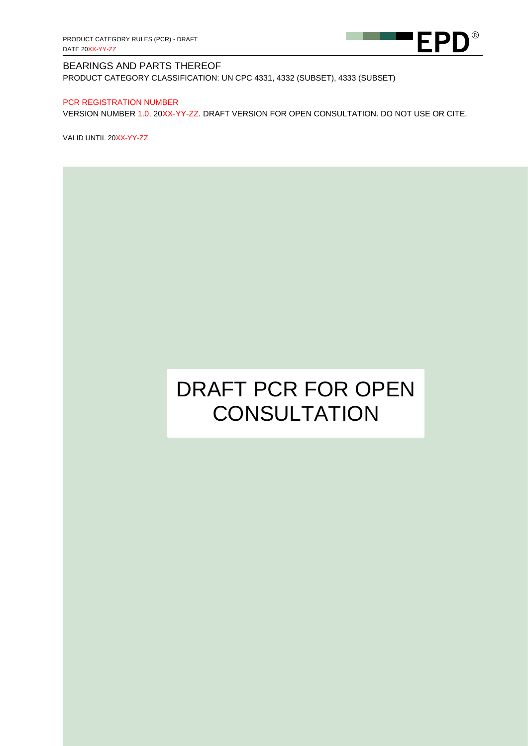

PRODUCT CATEGORY CLASSIFICATION: UN CPC 4331, 4332 (SUBSET), 4333 (SUBSET)

#### PCR REGISTRATION NUMBER

VERSION NUMBER 1.0, 20XX-YY-ZZ. DRAFT VERSION FOR OPEN CONSULTATION. DO NOT USE OR CITE.

VALID UNTIL 20XX-YY-ZZ

# DRAFT PCR FOR OPEN **CONSULTATION**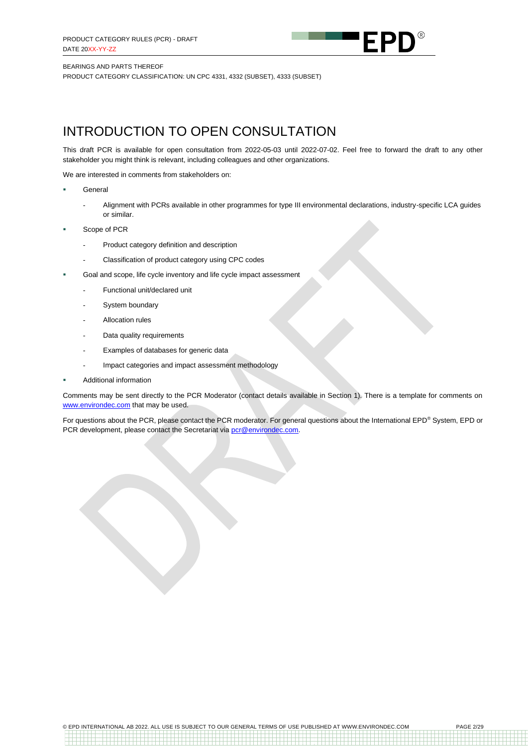

PRODUCT CATEGORY CLASSIFICATION: UN CPC 4331, 4332 (SUBSET), 4333 (SUBSET)

## INTRODUCTION TO OPEN CONSULTATION

This draft PCR is available for open consultation from 2022-05-03 until 2022-07-02. Feel free to forward the draft to any other stakeholder you might think is relevant, including colleagues and other organizations.

We are interested in comments from stakeholders on:

- **General** 
	- Alignment with PCRs available in other programmes for type III environmental declarations, industry-specific LCA guides or similar.
- Scope of PCR
	- Product category definition and description
	- Classification of product category using CPC codes
- Goal and scope, life cycle inventory and life cycle impact assessment
	- Functional unit/declared unit
	- System boundary
	- Allocation rules
	- Data quality requirements
	- Examples of databases for generic data
	- Impact categories and impact assessment methodology
- **Additional information**

Comments may be sent directly to the PCR Moderator (contact details available in Section 1). There is a template for comments on [www.environdec.com](http://www.environdec.com/) that may be used.

For questions about the PCR, please contact the PCR moderator. For general questions about the International EPD® System, EPD or PCR development, please contact the Secretariat via [pcr@environdec.com.](mailto:pcr@environdec.com)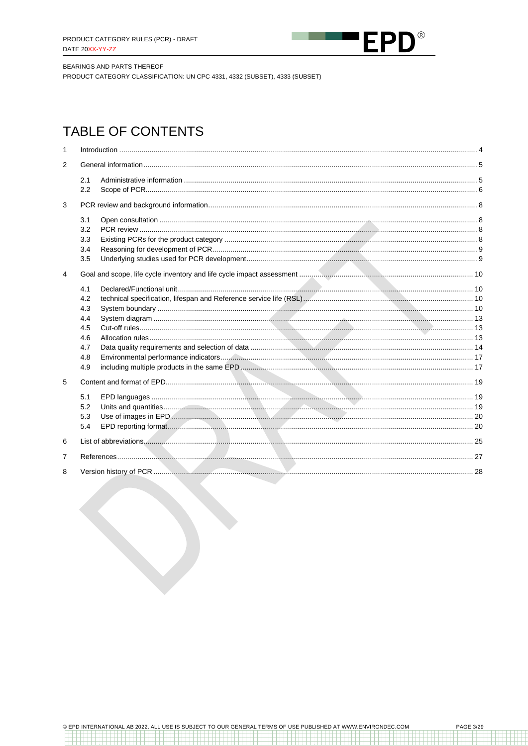

PRODUCT CATEGORY CLASSIFICATION: UN CPC 4331, 4332 (SUBSET), 4333 (SUBSET)

## **TABLE OF CONTENTS**

| $\mathbf 1$    |                                                             |  |  |
|----------------|-------------------------------------------------------------|--|--|
| $\overline{2}$ |                                                             |  |  |
|                | 2.1<br>2.2                                                  |  |  |
| 3              |                                                             |  |  |
|                | 3.1<br>3.2<br>3.3<br>3.4<br>3.5                             |  |  |
| $\overline{4}$ |                                                             |  |  |
|                | 4.1<br>4.2<br>4.3<br>4.4<br>4.5<br>4.6<br>4.7<br>4.8<br>4.9 |  |  |
| 5              |                                                             |  |  |
|                | 5.1<br>5.2<br>5.3<br>5.4                                    |  |  |
| 6              |                                                             |  |  |
| 7              |                                                             |  |  |
| 8              |                                                             |  |  |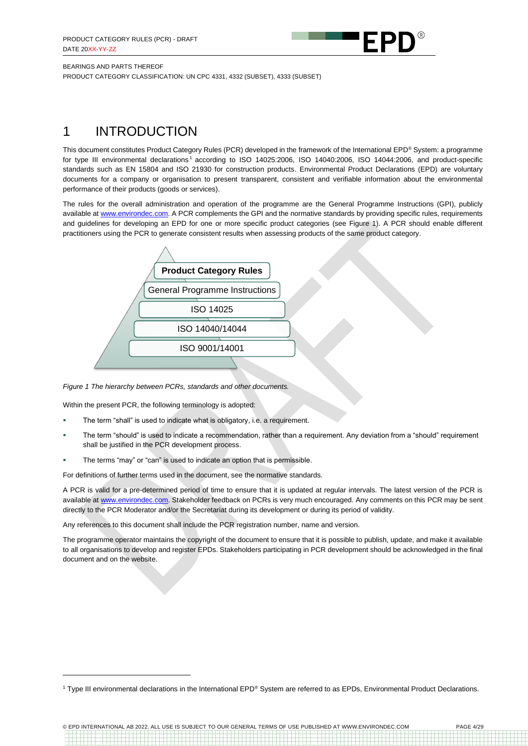

PRODUCT CATEGORY CLASSIFICATION: UN CPC 4331, 4332 (SUBSET), 4333 (SUBSET)

## <span id="page-3-0"></span>1 INTRODUCTION

This document constitutes Product Category Rules (PCR) developed in the framework of the International EPD® System: a programme for type III environmental declarations<sup>1</sup> according to ISO 14025:2006, ISO 14040:2006, ISO 14044:2006, and product-specific standards such as EN 15804 and ISO 21930 for construction products. Environmental Product Declarations (EPD) are voluntary documents for a company or organisation to present transparent, consistent and verifiable information about the environmental performance of their products (goods or services).

The rules for the overall administration and operation of the programme are the General Programme Instructions (GPI), publicly available a[t www.environdec.com.](http://www.environdec.com/) A PCR complements the GPI and the normative standards by providing specific rules, requirements and guidelines for developing an EPD for one or more specific product categories (see [Figure 1\)](#page-3-1). A PCR should enable different practitioners using the PCR to generate consistent results when assessing products of the same product category.



#### <span id="page-3-1"></span>*Figure 1 The hierarchy between PCRs, standards and other documents.*

Within the present PCR, the following terminology is adopted:

- The term "shall" is used to indicate what is obligatory, i.e. a requirement.
- The term "should" is used to indicate a recommendation, rather than a requirement. Any deviation from a "should" requirement shall be justified in the PCR development process.
- The terms "may" or "can" is used to indicate an option that is permissible.

For definitions of further terms used in the document, see the normative standards.

A PCR is valid for a pre-determined period of time to ensure that it is updated at regular intervals. The latest version of the PCR is available at [www.environdec.com.](http://www.environdec.com/) Stakeholder feedback on PCRs is very much encouraged. Any comments on this PCR may be sent directly to the PCR Moderator and/or the Secretariat during its development or during its period of validity.

Any references to this document shall include the PCR registration number, name and version.

The programme operator maintains the copyright of the document to ensure that it is possible to publish, update, and make it available to all organisations to develop and register EPDs. Stakeholders participating in PCR development should be acknowledged in the final document and on the website.

<sup>&</sup>lt;sup>1</sup> Type III environmental declarations in the International EPD<sup>®</sup> System are referred to as EPDs. Environmental Product Declarations.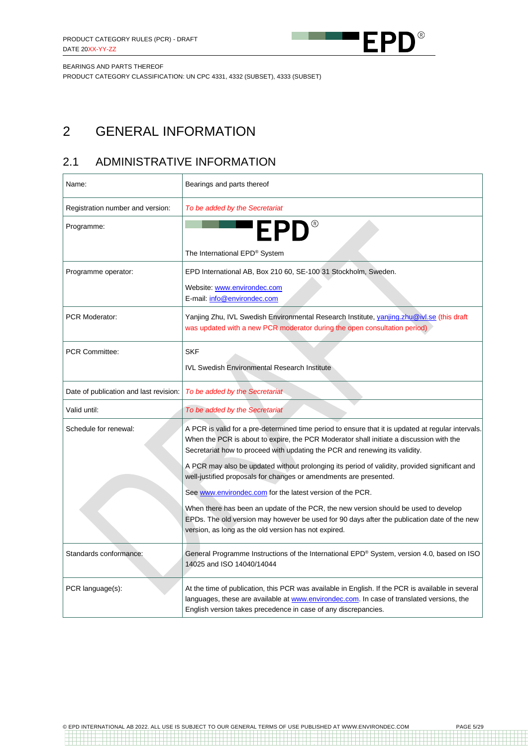

PRODUCT CATEGORY CLASSIFICATION: UN CPC 4331, 4332 (SUBSET), 4333 (SUBSET)

## <span id="page-4-0"></span>2 GENERAL INFORMATION

## <span id="page-4-1"></span>2.1 ADMINISTRATIVE INFORMATION

| Name:                                  | Bearings and parts thereof                                                                                                                                                                                                                                                   |
|----------------------------------------|------------------------------------------------------------------------------------------------------------------------------------------------------------------------------------------------------------------------------------------------------------------------------|
| Registration number and version:       | To be added by the Secretariat                                                                                                                                                                                                                                               |
| Programme:                             | <b>EPD®</b>                                                                                                                                                                                                                                                                  |
|                                        | The International EPD® System                                                                                                                                                                                                                                                |
| Programme operator:                    | EPD International AB, Box 210 60, SE-100 31 Stockholm, Sweden.                                                                                                                                                                                                               |
|                                        | Website: www.environdec.com<br>E-mail: info@environdec.com                                                                                                                                                                                                                   |
| <b>PCR Moderator:</b>                  | Yanjing Zhu, IVL Swedish Environmental Research Institute, yanjing.zhu@ivl.se (this draft<br>was updated with a new PCR moderator during the open consultation period)                                                                                                       |
| <b>PCR Committee:</b>                  | <b>SKF</b>                                                                                                                                                                                                                                                                   |
|                                        | <b>IVL Swedish Environmental Research Institute</b>                                                                                                                                                                                                                          |
| Date of publication and last revision: | To be added by the Secretariat                                                                                                                                                                                                                                               |
| Valid until:                           | To be added by the Secretariat                                                                                                                                                                                                                                               |
| Schedule for renewal:                  | A PCR is valid for a pre-determined time period to ensure that it is updated at regular intervals.<br>When the PCR is about to expire, the PCR Moderator shall initiate a discussion with the<br>Secretariat how to proceed with updating the PCR and renewing its validity. |
|                                        | A PCR may also be updated without prolonging its period of validity, provided significant and<br>well-justified proposals for changes or amendments are presented.                                                                                                           |
|                                        | See www.environdec.com for the latest version of the PCR.                                                                                                                                                                                                                    |
|                                        | When there has been an update of the PCR, the new version should be used to develop<br>EPDs. The old version may however be used for 90 days after the publication date of the new<br>version, as long as the old version has not expired.                                   |
| Standards conformance:                 | General Programme Instructions of the International EPD® System, version 4.0, based on ISO<br>14025 and ISO 14040/14044                                                                                                                                                      |
| PCR language(s):                       | At the time of publication, this PCR was available in English. If the PCR is available in several<br>languages, these are available at www.environdec.com. In case of translated versions, the<br>English version takes precedence in case of any discrepancies.             |

1999 - 1999 - 1999<br>1999 - 1999 - 1999 - 1999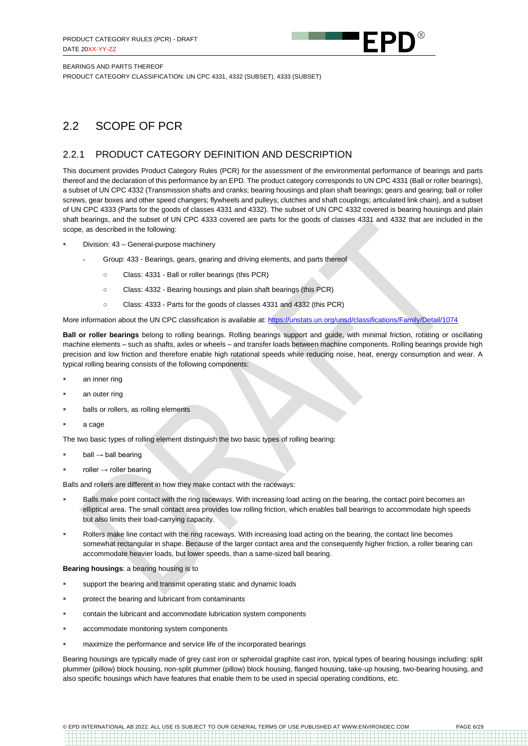

PRODUCT CATEGORY CLASSIFICATION: UN CPC 4331, 4332 (SUBSET), 4333 (SUBSET)

### <span id="page-5-0"></span>2.2 SCOPE OF PCR

#### <span id="page-5-1"></span>2.2.1 PRODUCT CATEGORY DEFINITION AND DESCRIPTION

This document provides Product Category Rules (PCR) for the assessment of the environmental performance of bearings and parts thereof and the declaration of this performance by an EPD*.* The product category corresponds to UN CPC 4331 (Ball or roller bearings), a subset of UN CPC 4332 (Transmission shafts and cranks; bearing housings and plain shaft bearings; gears and gearing; ball or roller screws, gear boxes and other speed changers; flywheels and pulleys; clutches and shaft couplings; articulated link chain), and a subset of UN CPC 4333 (Parts for the goods of classes 4331 and 4332). The subset of UN CPC 4332 covered is bearing housings and plain shaft bearings, and the subset of UN CPC 4333 covered are parts for the goods of classes 4331 and 4332 that are included in the scope, as described in the following:

- Division: 43 General-purpose machinery
	- Group: 433 Bearings, gears, gearing and driving elements, and parts thereof
		- Class: 4331 Ball or roller bearings (this PCR)
		- Class: 4332 Bearing housings and plain shaft bearings (this PCR)
		- Class: 4333 Parts for the goods of classes 4331 and 4332 (this PCR)

More information about the UN CPC classification is available at[: https://unstats.un.org/unsd/classifications/Family/Detail/1074](https://unstats.un.org/unsd/classifications/Family/Detail/1074)

**Ball or roller bearings** belong to rolling bearings. Rolling bearings support and guide, with minimal friction, rotating or oscillating machine elements – such as shafts, axles or wheels – and transfer loads between machine components. Rolling bearings provide high precision and low friction and therefore enable high rotational speeds while reducing noise, heat, energy consumption and wear. A typical rolling bearing consists of the following components:

- an inner ring
- an outer ring
- balls or rollers, as rolling elements
- a cage

The two basic types of rolling element distinguish the two basic types of rolling bearing:

- $ball \rightarrow ball$  bearing
- $roller \rightarrow roller$  bearing

Balls and rollers are different in how they make contact with the raceways:

- Balls make point contact with the ring raceways. With increasing load acting on the bearing, the contact point becomes an elliptical area. The small contact area provides low rolling friction, which enables ball bearings to accommodate high speeds but also limits their load-carrying capacity.
- Rollers make line contact with the ring raceways. With increasing load acting on the bearing, the contact line becomes somewhat rectangular in shape. Because of the larger contact area and the consequently higher friction, a roller bearing can accommodate heavier loads, but lower speeds, than a same-sized ball bearing.

#### **Bearing housings**: a bearing housing is to

- support the bearing and transmit operating static and dynamic loads
- protect the bearing and lubricant from contaminants
- contain the lubricant and accommodate lubrication system components
- accommodate monitoring system components
- **EXECT** maximize the performance and service life of the incorporated bearings

Bearing housings are typically made of grey cast iron or spheroidal graphite cast iron, typical types of bearing housings including: split plummer (pillow) block housing, non-split plummer (pillow) block housing, flanged housing, take-up housing, two-bearing housing, and also specific housings which have features that enable them to be used in special operating conditions, etc.

© EPD INTERNATIONAL AB 2022. ALL USE IS SUBJECT TO OUR GENERAL TERMS OF USE PUBLISHED AT WWW.ENVIRONDEC.COM PAGE 6/29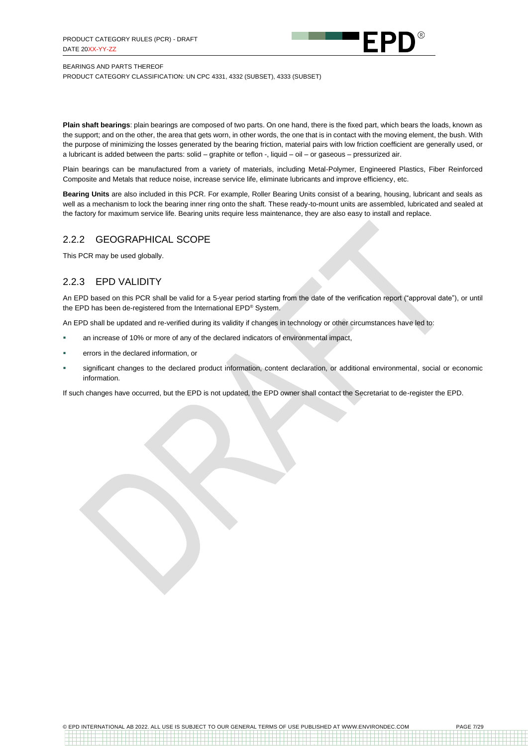

PRODUCT CATEGORY CLASSIFICATION: UN CPC 4331, 4332 (SUBSET), 4333 (SUBSET)

**Plain shaft bearings**: plain bearings are composed of two parts. On one hand, there is the fixed part, which bears the loads, known as the support; and on the other, the area that gets worn, in other words, the one that is in contact with the moving element, the bush. With the purpose of minimizing the losses generated by the bearing friction, material pairs with low friction coefficient are generally used, or a lubricant is added between the parts: solid – graphite or teflon -, liquid – oil – or gaseous – pressurized air.

Plain bearings can be manufactured from a variety of materials, including Metal-Polymer, Engineered Plastics, Fiber Reinforced Composite and Metals that reduce noise, increase service life, eliminate lubricants and improve efficiency, etc.

**Bearing Units** are also included in this PCR. For example, Roller Bearing Units consist of a bearing, housing, lubricant and seals as well as a mechanism to lock the bearing inner ring onto the shaft. These ready-to-mount units are assembled, lubricated and sealed at the factory for maximum service life. Bearing units require less maintenance, they are also easy to install and replace.

#### 2.2.2 GEOGRAPHICAL SCOPE

This PCR may be used globally.

### 2.2.3 EPD VALIDITY

An EPD based on this PCR shall be valid for a 5-year period starting from the date of the verification report ("approval date"), or until the EPD has been de-registered from the International EPD® System.

An EPD shall be updated and re-verified during its validity if changes in technology or other circumstances have led to:

- an increase of 10% or more of any of the declared indicators of environmental impact,
- errors in the declared information, or
- significant changes to the declared product information, content declaration, or additional environmental, social or economic information.

If such changes have occurred, but the EPD is not updated, the EPD owner shall contact the Secretariat to de-register the EPD.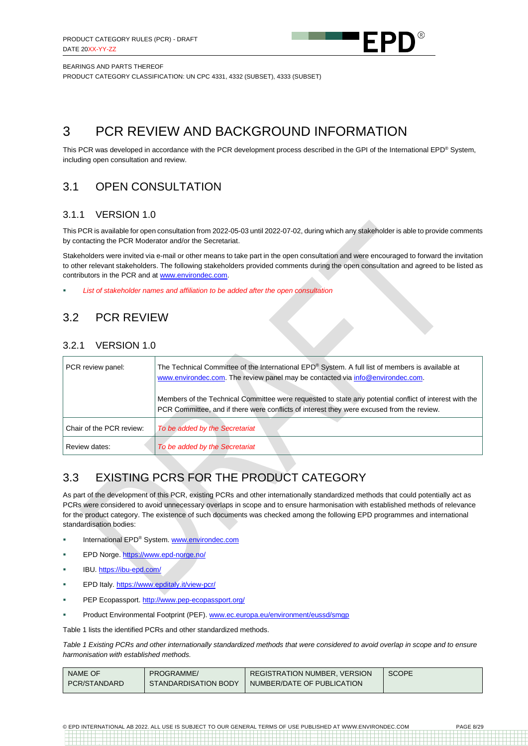

PRODUCT CATEGORY CLASSIFICATION: UN CPC 4331, 4332 (SUBSET), 4333 (SUBSET)

## <span id="page-7-0"></span>3 PCR REVIEW AND BACKGROUND INFORMATION

This PCR was developed in accordance with the PCR development process described in the GPI of the International EPD® System, including open consultation and review.

### <span id="page-7-1"></span>3.1 OPEN CONSULTATION

### 3.1.1 VERSION 1.0

This PCR is available for open consultation from 2022-05-03 until 2022-07-02, during which any stakeholder is able to provide comments by contacting the PCR Moderator and/or the Secretariat.

Stakeholders were invited via e-mail or other means to take part in the open consultation and were encouraged to forward the invitation to other relevant stakeholders. The following stakeholders provided comments during the open consultation and agreed to be listed as contributors in the PCR and at [www.environdec.com.](http://www.environdec.com/)

List of stakeholder names and affiliation to be added after the open consultation

### <span id="page-7-2"></span>3.2 PCR REVIEW

### 3.2.1 VERSION 1.0

| PCR review panel:        | The Technical Committee of the International EPD® System. A full list of members is available at<br>www.environdec.com. The review panel may be contacted via info@environdec.com.                  |
|--------------------------|-----------------------------------------------------------------------------------------------------------------------------------------------------------------------------------------------------|
|                          | Members of the Technical Committee were requested to state any potential conflict of interest with the<br>PCR Committee, and if there were conflicts of interest they were excused from the review. |
| Chair of the PCR review: | To be added by the Secretariat                                                                                                                                                                      |
| Review dates:            | To be added by the Secretariat                                                                                                                                                                      |

## <span id="page-7-3"></span>3.3 EXISTING PCRS FOR THE PRODUCT CATEGORY

As part of the development of this PCR, existing PCRs and other internationally standardized methods that could potentially act as PCRs were considered to avoid unnecessary overlaps in scope and to ensure harmonisation with established methods of relevance for the product category. The existence of such documents was checked among the following EPD programmes and international standardisation bodies:

- International EPD® System[. www.environdec.com](http://www.environdec.com/)
- EPD Norge. <https://www.epd-norge.no/>
- IBU. <https://ibu-epd.com/>
- EPD Italy. <https://www.epditaly.it/view-pcr/>
- PEP Ecopassport. <http://www.pep-ecopassport.org/>
- Product Environmental Footprint (PEF). [www.ec.europa.eu/environment/eussd/smgp](http://www.ec.europa.eu/environment/eussd/smgp)

[Table 1](#page-7-4) lists the identified PCRs and other standardized methods.

<span id="page-7-4"></span>*Table 1 Existing PCRs and other internationally standardized methods that were considered to avoid overlap in scope and to ensure harmonisation with established methods.*

| NAME OF      | PROGRAMME/           | <b>REGISTRATION NUMBER, VERSION</b> | <b>SCOPE</b> |
|--------------|----------------------|-------------------------------------|--------------|
| PCR/STANDARD | STANDARDISATION BODY | NUMBER/DATE OF PUBLICATION          |              |

© EPD INTERNATIONAL AB 2022. ALL USE IS SUBJECT TO OUR GENERAL TERMS OF USE PUBLISHED AT WWW.ENVIRONDEC.COM PAGE 8/29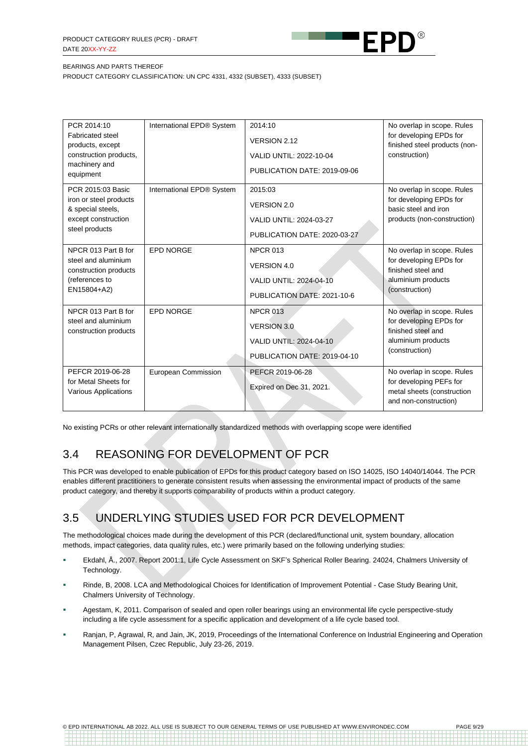

PRODUCT CATEGORY CLASSIFICATION: UN CPC 4331, 4332 (SUBSET), 4333 (SUBSET)

| PCR 2014:10<br><b>Fabricated steel</b><br>products, except<br>construction products,<br>machinery and<br>equipment | International EPD® System | 2014:10<br>VERSION 2.12<br>VALID UNTIL: 2022-10-04<br>PUBLICATION DATE: 2019-09-06               | No overlap in scope. Rules<br>for developing EPDs for<br>finished steel products (non-<br>construction)             |
|--------------------------------------------------------------------------------------------------------------------|---------------------------|--------------------------------------------------------------------------------------------------|---------------------------------------------------------------------------------------------------------------------|
| PCR 2015:03 Basic<br>iron or steel products<br>& special steels,<br>except construction<br>steel products          | International EPD® System | 2015:03<br><b>VERSION 2.0</b><br>VALID UNTIL: 2024-03-27<br>PUBLICATION DATE: 2020-03-27         | No overlap in scope. Rules<br>for developing EPDs for<br>basic steel and iron<br>products (non-construction)        |
| NPCR 013 Part B for<br>steel and aluminium<br>construction products<br>(references to<br>EN15804+A2)               | <b>EPD NORGE</b>          | <b>NPCR 013</b><br>VERSION 4.0<br>VALID UNTIL: 2024-04-10<br>PUBLICATION DATE: 2021-10-6         | No overlap in scope. Rules<br>for developing EPDs for<br>finished steel and<br>aluminium products<br>(construction) |
| NPCR 013 Part B for<br>steel and aluminium<br>construction products                                                | <b>EPD NORGE</b>          | <b>NPCR 013</b><br><b>VERSION 3.0</b><br>VALID UNTIL: 2024-04-10<br>PUBLICATION DATE: 2019-04-10 | No overlap in scope. Rules<br>for developing EPDs for<br>finished steel and<br>aluminium products<br>(construction) |
| PEFCR 2019-06-28<br>for Metal Sheets for<br><b>Various Applications</b>                                            | European Commission       | PEFCR 2019-06-28<br>Expired on Dec 31, 2021.                                                     | No overlap in scope. Rules<br>for developing PEFs for<br>metal sheets (construction<br>and non-construction)        |

No existing PCRs or other relevant internationally standardized methods with overlapping scope were identified

## <span id="page-8-0"></span>3.4 REASONING FOR DEVELOPMENT OF PCR

This PCR was developed to enable publication of EPDs for this product category based on ISO 14025, ISO 14040/14044. The PCR enables different practitioners to generate consistent results when assessing the environmental impact of products of the same product category, and thereby it supports comparability of products within a product category.

## <span id="page-8-1"></span>3.5 UNDERLYING STUDIES USED FOR PCR DEVELOPMENT

The methodological choices made during the development of this PCR (declared/functional unit, system boundary, allocation methods, impact categories, data quality rules, etc.) were primarily based on the following underlying studies:

- Ekdahl, Å., 2007. Report 2001:1, Life Cycle Assessment on SKF's Spherical Roller Bearing. 24024, Chalmers University of Technology.
- Rinde, B, 2008. LCA and Methodological Choices for Identification of Improvement Potential Case Study Bearing Unit. Chalmers University of Technology.
- Agestam, K, 2011. Comparison of sealed and open roller bearings using an environmental life cycle perspective-study including a life cycle assessment for a specific application and development of a life cycle based tool.
- Ranjan, P, Agrawal, R, and Jain, JK, 2019, Proceedings of the International Conference on Industrial Engineering and Operation Management Pilsen, Czec Republic, July 23-26, 2019.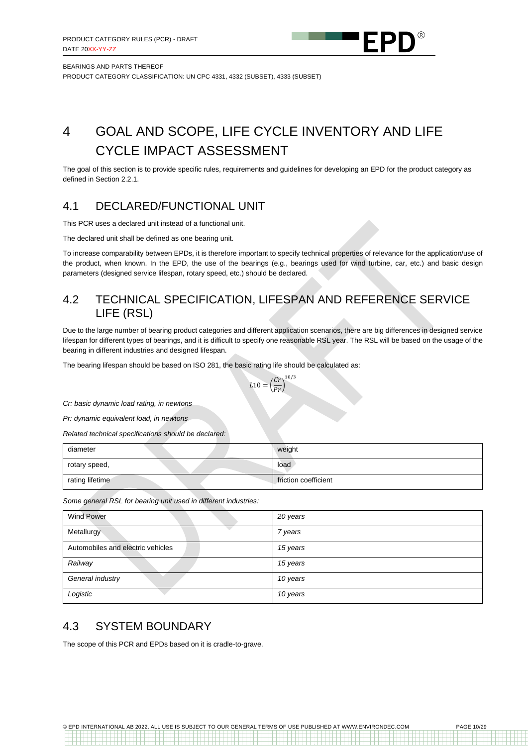

PRODUCT CATEGORY CLASSIFICATION: UN CPC 4331, 4332 (SUBSET), 4333 (SUBSET)

## <span id="page-9-0"></span>4 GOAL AND SCOPE, LIFE CYCLE INVENTORY AND LIFE CYCLE IMPACT ASSESSMENT

The goal of this section is to provide specific rules, requirements and guidelines for developing an EPD for the product category as defined in Section [2.2.1.](#page-5-1)

### <span id="page-9-1"></span>4.1 DECLARED/FUNCTIONAL UNIT

This PCR uses a declared unit instead of a functional unit.

The declared unit shall be defined as one bearing unit.

To increase comparability between EPDs, it is therefore important to specify technical properties of relevance for the application/use of the product, when known. In the EPD, the use of the bearings (e.g., bearings used for wind turbine, car, etc.) and basic design parameters (designed service lifespan, rotary speed, etc.) should be declared.

### <span id="page-9-2"></span>4.2 TECHNICAL SPECIFICATION, LIFESPAN AND REFERENCE SERVICE LIFE (RSL)

<span id="page-9-3"></span>Due to the large number of bearing product categories and different application scenarios, there are big differences in designed service lifespan for different types of bearings, and it is difficult to specify one reasonable RSL year. The RSL will be based on the usage of the bearing in different industries and designed lifespan.

The bearing lifespan should be based on ISO 281, the basic rating life should be calculated as:

$$
L10 = \left(\frac{Cr}{Pr}\right)^{10/3}
$$

*Cr: basic dynamic load rating, in newtons*

*Pr: dynamic equivalent load, in newtons*

*Related technical specifications should be declared:*

| diameter        | weight               |
|-----------------|----------------------|
| rotary speed,   | load                 |
| rating lifetime | friction coefficient |

*Some general RSL for bearing unit used in different industries:*

| <b>Wind Power</b>                 | 20 years |
|-----------------------------------|----------|
| Metallurgy                        | 7 years  |
| Automobiles and electric vehicles | 15 years |
| Railway                           | 15 years |
| General industry                  | 10 years |
| Logistic                          | 10 years |

### 4.3 SYSTEM BOUNDARY

The scope of this PCR and EPDs based on it is cradle-to-grave.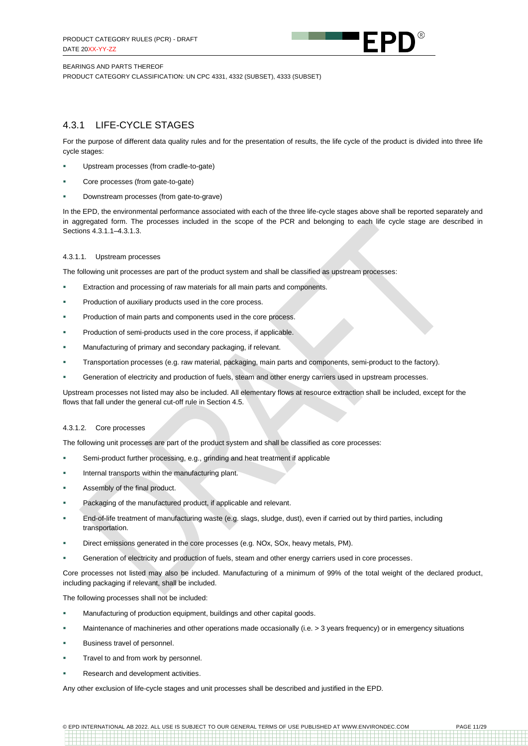

PRODUCT CATEGORY CLASSIFICATION: UN CPC 4331, 4332 (SUBSET), 4333 (SUBSET)

### 4.3.1 LIFE-CYCLE STAGES

For the purpose of different data quality rules and for the presentation of results, the life cycle of the product is divided into three life cycle stages:

- Upstream processes (from cradle-to-gate)
- Core processes (from gate-to-gate)
- Downstream processes (from gate-to-grave)

In the EPD, the environmental performance associated with each of the three life-cycle stages above shall be reported separately and in aggregated form. The processes included in the scope of the PCR and belonging to each life cycle stage are described in Sections [4.3.1.1](#page-10-0)[–4.3.1.3.](#page-11-0)

#### <span id="page-10-0"></span>4.3.1.1. Upstream processes

The following unit processes are part of the product system and shall be classified as upstream processes:

- **EXTRER** Extraction and processing of raw materials for all main parts and components.
- Production of auxiliary products used in the core process.
- Production of main parts and components used in the core process.
- Production of semi-products used in the core process, if applicable.
- Manufacturing of primary and secondary packaging, if relevant.
- Transportation processes (e.g. raw material, packaging, main parts and components, semi-product to the factory).
- Generation of electricity and production of fuels, steam and other energy carriers used in upstream processes.

Upstream processes not listed may also be included. All elementary flows at resource extraction shall be included, except for the flows that fall under the general cut-off rule in Section [4.5.](#page-12-1)

#### 4.3.1.2. Core processes

The following unit processes are part of the product system and shall be classified as core processes:

- Semi-product further processing, e.g., grinding and heat treatment if applicable
- Internal transports within the manufacturing plant.
- Assembly of the final product.
- Packaging of the manufactured product, if applicable and relevant.
- End-of-life treatment of manufacturing waste (e.g. slags, sludge, dust), even if carried out by third parties, including transportation.
- Direct emissions generated in the core processes (e.g. NOx, SOx, heavy metals, PM).
- Generation of electricity and production of fuels, steam and other energy carriers used in core processes.

Core processes not listed may also be included. Manufacturing of a minimum of 99% of the total weight of the declared product, including packaging if relevant, shall be included.

The following processes shall not be included:

- **■** Manufacturing of production equipment, buildings and other capital goods.
- Maintenance of machineries and other operations made occasionally (i.e. > 3 years frequency) or in emergency situations
- Business travel of personnel.
- Travel to and from work by personnel.
- Research and development activities.

Any other exclusion of life-cycle stages and unit processes shall be described and justified in the EPD.

© EPD INTERNATIONAL AB 2022. ALL USE IS SUBJECT TO OUR GENERAL TERMS OF USE PUBLISHED AT WWW.ENVIRONDEC.COM PAGE 11/29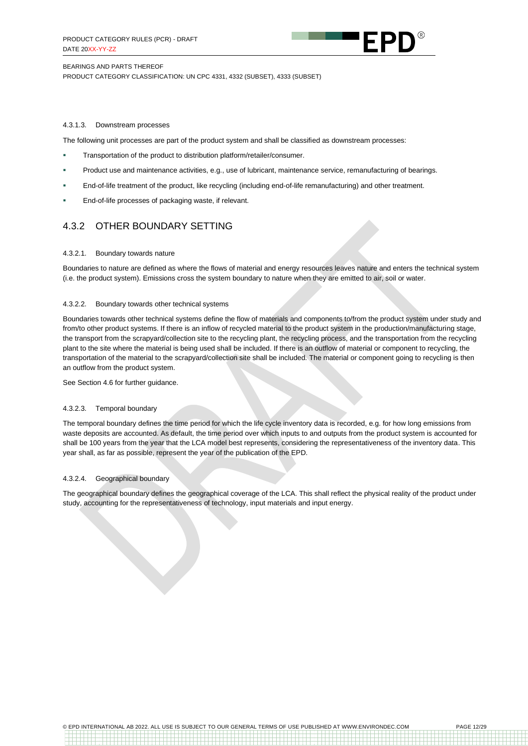

PRODUCT CATEGORY CLASSIFICATION: UN CPC 4331, 4332 (SUBSET), 4333 (SUBSET)

#### <span id="page-11-0"></span>4.3.1.3. Downstream processes

The following unit processes are part of the product system and shall be classified as downstream processes:

- **EXECT** Transportation of the product to distribution platform/retailer/consumer.
- Product use and maintenance activities, e.g., use of lubricant, maintenance service, remanufacturing of bearings.
- End-of-life treatment of the product, like recycling (including end-of-life remanufacturing) and other treatment.
- End-of-life processes of packaging waste, if relevant.

### 4.3.2 OTHER BOUNDARY SETTING

#### 4.3.2.1. Boundary towards nature

Boundaries to nature are defined as where the flows of material and energy resources leaves nature and enters the technical system (i.e. the product system). Emissions cross the system boundary to nature when they are emitted to air, soil or water.

#### 4.3.2.2. Boundary towards other technical systems

Boundaries towards other technical systems define the flow of materials and components to/from the product system under study and from/to other product systems. If there is an inflow of recycled material to the product system in the production/manufacturing stage, the transport from the scrapyard/collection site to the recycling plant, the recycling process, and the transportation from the recycling plant to the site where the material is being used shall be included. If there is an outflow of material or component to recycling, the transportation of the material to the scrapyard/collection site shall be included. The material or component going to recycling is then an outflow from the product system.

See Section [4.6](#page-12-2) for further guidance.

#### 4.3.2.3. Temporal boundary

The temporal boundary defines the time period for which the life cycle inventory data is recorded, e.g. for how long emissions from waste deposits are accounted. As default, the time period over which inputs to and outputs from the product system is accounted for shall be 100 years from the year that the LCA model best represents, considering the representativeness of the inventory data. This year shall, as far as possible, represent the year of the publication of the EPD.

#### 4.3.2.4. Geographical boundary

The geographical boundary defines the geographical coverage of the LCA. This shall reflect the physical reality of the product under study, accounting for the representativeness of technology, input materials and input energy.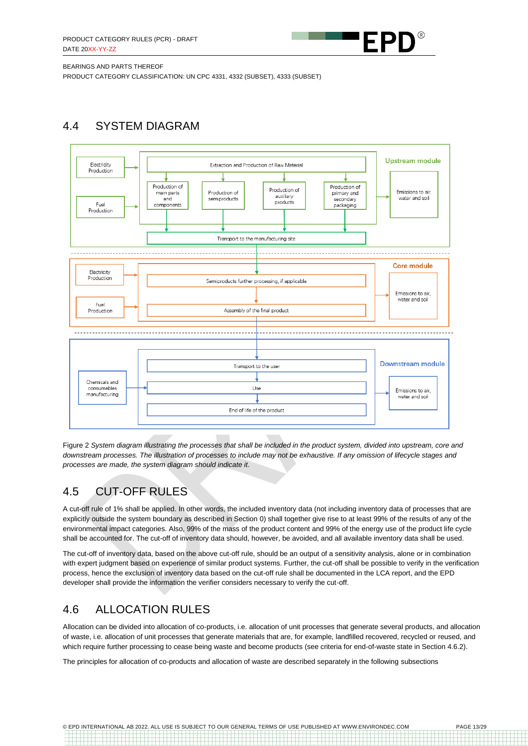

PRODUCT CATEGORY CLASSIFICATION: UN CPC 4331, 4332 (SUBSET), 4333 (SUBSET)

## <span id="page-12-0"></span>4.4 SYSTEM DIAGRAM



Figure 2 *System diagram illustrating the processes that shall be included in the product system, divided into upstream, core and downstream processes. The illustration of processes to include may not be exhaustive. If any omission of lifecycle stages and processes are made, the system diagram should indicate it.*

## <span id="page-12-1"></span>4.5 CUT-OFF RULES

A cut-off rule of 1% shall be applied. In other words, the included inventory data (not including inventory data of processes that are explicitly outside the system boundary as described in Section [0\)](#page-9-3) shall together give rise to at least 99% of the results of any of the environmental impact categories. Also, 99% of the mass of the product content and 99% of the energy use of the product life cycle shall be accounted for. The cut-off of inventory data should, however, be avoided, and all available inventory data shall be used.

The cut-off of inventory data, based on the above cut-off rule, should be an output of a sensitivity analysis, alone or in combination with expert judgment based on experience of similar product systems. Further, the cut-off shall be possible to verify in the verification process, hence the exclusion of inventory data based on the cut-off rule shall be documented in the LCA report, and the EPD developer shall provide the information the verifier considers necessary to verify the cut-off.

## <span id="page-12-2"></span>4.6 ALLOCATION RULES

Allocation can be divided into allocation of co-products, i.e. allocation of unit processes that generate several products, and allocation of waste, i.e. allocation of unit processes that generate materials that are, for example, landfilled recovered, recycled or reused, and which require further processing to cease being waste and become products (see criteria for end-of-waste state in Sectio[n 4.6.2\)](#page-13-1).

The principles for allocation of co-products and allocation of waste are described separately in the following subsections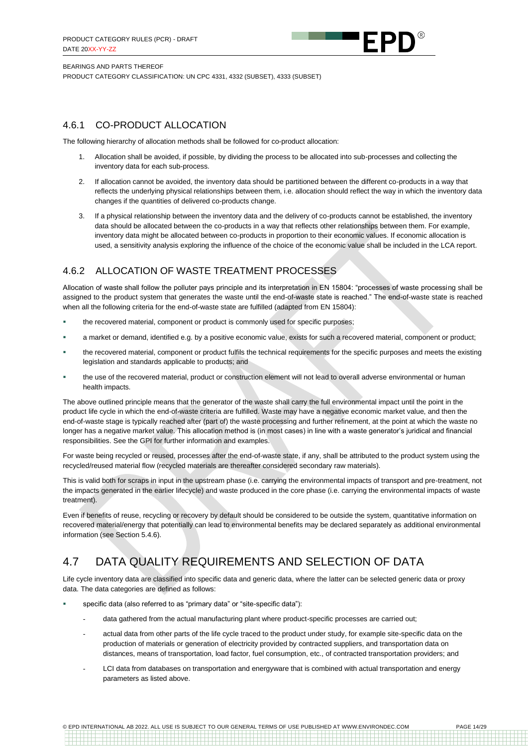

PRODUCT CATEGORY CLASSIFICATION: UN CPC 4331, 4332 (SUBSET), 4333 (SUBSET)

### 4.6.1 CO-PRODUCT ALLOCATION

The following hierarchy of allocation methods shall be followed for co-product allocation:

- 1. Allocation shall be avoided, if possible, by dividing the process to be allocated into sub-processes and collecting the inventory data for each sub-process.
- 2. If allocation cannot be avoided, the inventory data should be partitioned between the different co-products in a way that reflects the underlying physical relationships between them, i.e. allocation should reflect the way in which the inventory data changes if the quantities of delivered co-products change.
- 3. If a physical relationship between the inventory data and the delivery of co-products cannot be established, the inventory data should be allocated between the co-products in a way that reflects other relationships between them. For example, inventory data might be allocated between co-products in proportion to their economic values. If economic allocation is used, a sensitivity analysis exploring the influence of the choice of the economic value shall be included in the LCA report.

### <span id="page-13-1"></span>4.6.2 ALLOCATION OF WASTE TREATMENT PROCESSES

Allocation of waste shall follow the polluter pays principle and its interpretation in EN 15804: "processes of waste processing shall be assigned to the product system that generates the waste until the end-of-waste state is reached." The end-of-waste state is reached when all the following criteria for the end-of-waste state are fulfilled (adapted from EN 15804):

- the recovered material, component or product is commonly used for specific purposes;
- a market or demand, identified e.g. by a positive economic value, exists for such a recovered material, component or product;
- the recovered material, component or product fulfils the technical requirements for the specific purposes and meets the existing legislation and standards applicable to products; and
- the use of the recovered material, product or construction element will not lead to overall adverse environmental or human health impacts.

The above outlined principle means that the generator of the waste shall carry the full environmental impact until the point in the product life cycle in which the end-of-waste criteria are fulfilled. Waste may have a negative economic market value, and then the end-of-waste stage is typically reached after (part of) the waste processing and further refinement, at the point at which the waste no longer has a negative market value. This allocation method is (in most cases) in line with a waste generator's juridical and financial responsibilities. See the GPI for further information and examples.

For waste being recycled or reused, processes after the end-of-waste state, if any, shall be attributed to the product system using the recycled/reused material flow (recycled materials are thereafter considered secondary raw materials).

This is valid both for scraps in input in the upstream phase (i.e. carrying the environmental impacts of transport and pre-treatment, not the impacts generated in the earlier lifecycle) and waste produced in the core phase (i.e. carrying the environmental impacts of waste treatment).

Even if benefits of reuse, recycling or recovery by default should be considered to be outside the system, quantitative information on recovered material/energy that potentially can lead to environmental benefits may be declared separately as additional environmental information (see Section 5.4.6).

## <span id="page-13-0"></span>4.7 DATA QUALITY REQUIREMENTS AND SELECTION OF DATA

Life cycle inventory data are classified into specific data and generic data, where the latter can be selected generic data or proxy data. The data categories are defined as follows:

- specific data (also referred to as "primary data" or "site-specific data"):
	- data gathered from the actual manufacturing plant where product-specific processes are carried out;
	- actual data from other parts of the life cycle traced to the product under study, for example site-specific data on the production of materials or generation of electricity provided by contracted suppliers, and transportation data on distances, means of transportation, load factor, fuel consumption, etc., of contracted transportation providers; and
	- LCI data from databases on transportation and energyware that is combined with actual transportation and energy parameters as listed above.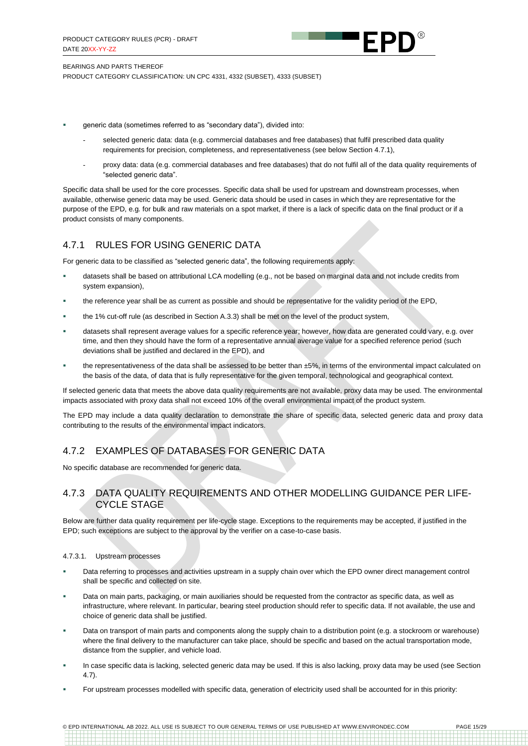

BEARINGS AND PARTS THEREOF PRODUCT CATEGORY CLASSIFICATION: UN CPC 4331, 4332 (SUBSET), 4333 (SUBSET)

- generic data (sometimes referred to as "secondary data"), divided into:
	- selected generic data: data (e.g. commercial databases and free databases) that fulfil prescribed data quality requirements for precision, completeness, and representativeness (see below Sectio[n 4.7.1\)](#page-14-0),
	- proxy data: data (e.g. commercial databases and free databases) that do not fulfil all of the data quality requirements of "selected generic data".

Specific data shall be used for the core processes. Specific data shall be used for upstream and downstream processes, when available, otherwise generic data may be used. Generic data should be used in cases in which they are representative for the purpose of the EPD, e.g. for bulk and raw materials on a spot market, if there is a lack of specific data on the final product or if a product consists of many components.

### <span id="page-14-0"></span>4.7.1 RULES FOR USING GENERIC DATA

For generic data to be classified as "selected generic data", the following requirements apply:

- datasets shall be based on attributional LCA modelling (e.g., not be based on marginal data and not include credits from system expansion),
- the reference year shall be as current as possible and should be representative for the validity period of the EPD,
- the 1% cut-off rule (as described in Section A.3.3) shall be met on the level of the product system,
- datasets shall represent average values for a specific reference year; however, how data are generated could vary, e.g. over time, and then they should have the form of a representative annual average value for a specified reference period (such deviations shall be justified and declared in the EPD), and
- the representativeness of the data shall be assessed to be better than  $±5%$ , in terms of the environmental impact calculated on the basis of the data, of data that is fully representative for the given temporal, technological and geographical context.

If selected generic data that meets the above data quality requirements are not available, proxy data may be used. The environmental impacts associated with proxy data shall not exceed 10% of the overall environmental impact of the product system.

The EPD may include a data quality declaration to demonstrate the share of specific data, selected generic data and proxy data contributing to the results of the environmental impact indicators.

### 4.7.2 EXAMPLES OF DATABASES FOR GENERIC DATA

No specific database are recommended for generic data.

### 4.7.3 DATA QUALITY REQUIREMENTS AND OTHER MODELLING GUIDANCE PER LIFE-CYCLE STAGE

Below are further data quality requirement per life-cycle stage. Exceptions to the requirements may be accepted, if justified in the EPD; such exceptions are subject to the approval by the verifier on a case-to-case basis.

#### 4.7.3.1. Upstream processes

- Data referring to processes and activities upstream in a supply chain over which the EPD owner direct management control shall be specific and collected on site.
- Data on main parts, packaging, or main auxiliaries should be requested from the contractor as specific data, as well as infrastructure, where relevant. In particular, bearing steel production should refer to specific data. If not available, the use and choice of generic data shall be justified.
- Data on transport of main parts and components along the supply chain to a distribution point (e.g. a stockroom or warehouse) where the final delivery to the manufacturer can take place, should be specific and based on the actual transportation mode, distance from the supplier, and vehicle load.
- In case specific data is lacking, selected generic data may be used. If this is also lacking, proxy data may be used (see Section [4.7\)](#page-13-0).
- For upstream processes modelled with specific data, generation of electricity used shall be accounted for in this priority: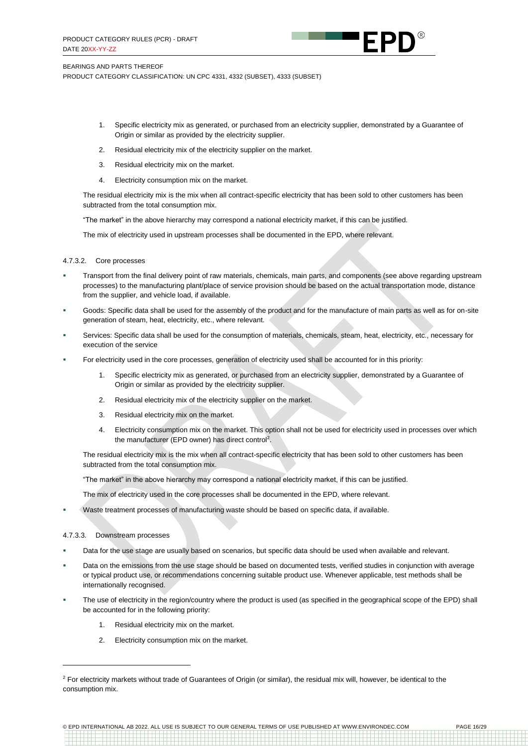

PRODUCT CATEGORY CLASSIFICATION: UN CPC 4331, 4332 (SUBSET), 4333 (SUBSET)

- 1. Specific electricity mix as generated, or purchased from an electricity supplier, demonstrated by a Guarantee of Origin or similar as provided by the electricity supplier.
- 2. Residual electricity mix of the electricity supplier on the market.
- 3. Residual electricity mix on the market.
- 4. Electricity consumption mix on the market.

The residual electricity mix is the mix when all contract-specific electricity that has been sold to other customers has been subtracted from the total consumption mix.

"The market" in the above hierarchy may correspond a national electricity market, if this can be justified.

The mix of electricity used in upstream processes shall be documented in the EPD, where relevant.

#### 4.7.3.2. Core processes

- Transport from the final delivery point of raw materials, chemicals, main parts, and components (see above regarding upstream processes) to the manufacturing plant/place of service provision should be based on the actual transportation mode, distance from the supplier, and vehicle load, if available.
- Goods: Specific data shall be used for the assembly of the product and for the manufacture of main parts as well as for on-site generation of steam, heat, electricity, etc., where relevant.
- Services: Specific data shall be used for the consumption of materials, chemicals, steam, heat, electricity, etc., necessary for execution of the service
- For electricity used in the core processes, generation of electricity used shall be accounted for in this priority:
	- 1. Specific electricity mix as generated, or purchased from an electricity supplier, demonstrated by a Guarantee of Origin or similar as provided by the electricity supplier.
	- 2. Residual electricity mix of the electricity supplier on the market.
	- 3. Residual electricity mix on the market.
	- 4. Electricity consumption mix on the market. This option shall not be used for electricity used in processes over which the manufacturer (EPD owner) has direct control<sup>2</sup>.

The residual electricity mix is the mix when all contract-specific electricity that has been sold to other customers has been subtracted from the total consumption mix.

"The market" in the above hierarchy may correspond a national electricity market, if this can be justified.

The mix of electricity used in the core processes shall be documented in the EPD, where relevant.

Waste treatment processes of manufacturing waste should be based on specific data, if available.

#### 4.7.3.3. Downstream processes

- Data for the use stage are usually based on scenarios, but specific data should be used when available and relevant.
- Data on the emissions from the use stage should be based on documented tests, verified studies in conjunction with average or typical product use, or recommendations concerning suitable product use. Whenever applicable, test methods shall be internationally recognised.
- The use of electricity in the region/country where the product is used (as specified in the geographical scope of the EPD) shall be accounted for in the following priority:
	- 1. Residual electricity mix on the market.
	- 2. Electricity consumption mix on the market.

© EPD INTERNATIONAL AB 2022. ALL USE IS SUBJECT TO OUR GENERAL TERMS OF USE PUBLISHED AT WWW.ENVIRONDEC.COM PAGE 16/29

<sup>&</sup>lt;sup>2</sup> For electricity markets without trade of Guarantees of Origin (or similar), the residual mix will, however, be identical to the consumption mix.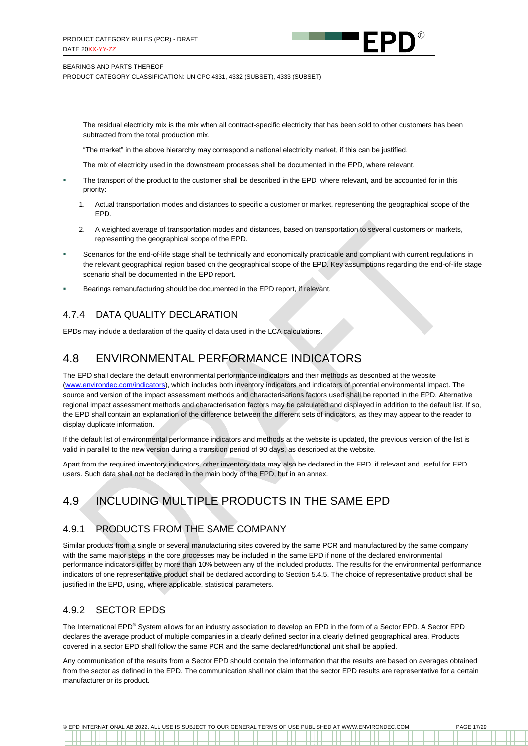

PRODUCT CATEGORY CLASSIFICATION: UN CPC 4331, 4332 (SUBSET), 4333 (SUBSET)

The residual electricity mix is the mix when all contract-specific electricity that has been sold to other customers has been subtracted from the total production mix.

"The market" in the above hierarchy may correspond a national electricity market, if this can be justified.

The mix of electricity used in the downstream processes shall be documented in the EPD, where relevant.

- The transport of the product to the customer shall be described in the EPD, where relevant, and be accounted for in this priority:
	- 1. Actual transportation modes and distances to specific a customer or market, representing the geographical scope of the EPD.
	- 2. A weighted average of transportation modes and distances, based on transportation to several customers or markets, representing the geographical scope of the EPD.
- Scenarios for the end-of-life stage shall be technically and economically practicable and compliant with current regulations in the relevant geographical region based on the geographical scope of the EPD. Key assumptions regarding the end-of-life stage scenario shall be documented in the EPD report.
- Bearings remanufacturing should be documented in the EPD report, if relevant.

### 4.7.4 DATA QUALITY DECLARATION

EPDs may include a declaration of the quality of data used in the LCA calculations.

### <span id="page-16-0"></span>4.8 ENVIRONMENTAL PERFORMANCE INDICATORS

The EPD shall declare the default environmental performance indicators and their methods as described at the website [\(www.environdec.com/i](http://www.environdec.com/impact-categories)ndicators), which includes both inventory indicators and indicators of potential environmental impact. The source and version of the impact assessment methods and characterisations factors used shall be reported in the EPD. Alternative regional impact assessment methods and characterisation factors may be calculated and displayed in addition to the default list. If so, the EPD shall contain an explanation of the difference between the different sets of indicators, as they may appear to the reader to display duplicate information.

If the default list of environmental performance indicators and methods at the [website](http://www.environdec.com/) is updated, the previous version of the list is valid in parallel to the new version during a transition period of 90 days, as described at the website.

Apart from the required inventory indicators, other inventory data may also be declared in the EPD, if relevant and useful for EPD users. Such data shall not be declared in the main body of the EPD, but in an annex.

## <span id="page-16-1"></span>4.9 INCLUDING MULTIPLE PRODUCTS IN THE SAME EPD

### 4.9.1 PRODUCTS FROM THE SAME COMPANY

Similar products from a single or several manufacturing sites covered by the same PCR and manufactured by the same company with the same major steps in the core processes may be included in the same EPD if none of the declared environmental performance indicators differ by more than 10% between any of the included products. The results for the environmental performance indicators of one representative product shall be declared according to Section [5.4.5.](#page-23-0) The choice of representative product shall be justified in the EPD, using, where applicable, statistical parameters.

### 4.9.2 SECTOR EPDS

The International EPD® System allows for an industry association to develop an EPD in the form of a Sector EPD. A Sector EPD declares the average product of multiple companies in a clearly defined sector in a clearly defined geographical area. Products covered in a sector EPD shall follow the same PCR and the same declared/functional unit shall be applied.

Any communication of the results from a Sector EPD should contain the information that the results are based on averages obtained from the sector as defined in the EPD. The communication shall not claim that the sector EPD results are representative for a certain manufacturer or its product.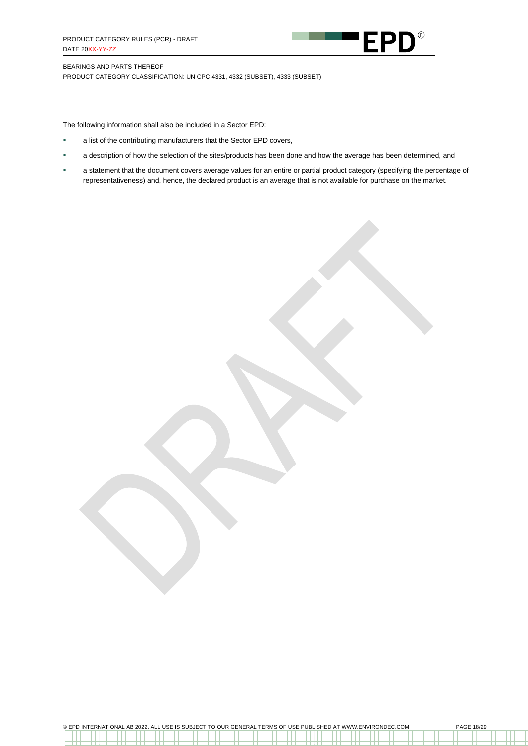

PRODUCT CATEGORY CLASSIFICATION: UN CPC 4331, 4332 (SUBSET), 4333 (SUBSET)

The following information shall also be included in a Sector EPD:

- a list of the contributing manufacturers that the Sector EPD covers,
- a description of how the selection of the sites/products has been done and how the average has been determined, and
- a statement that the document covers average values for an entire or partial product category (specifying the percentage of representativeness) and, hence, the declared product is an average that is not available for purchase on the market.

© EPD INTERNATIONAL AB 2022. ALL USE IS SUBJECT TO OUR GENERAL TERMS OF USE PUBLISHED AT WWW.ENVIRONDEC.COM PAGE 18/29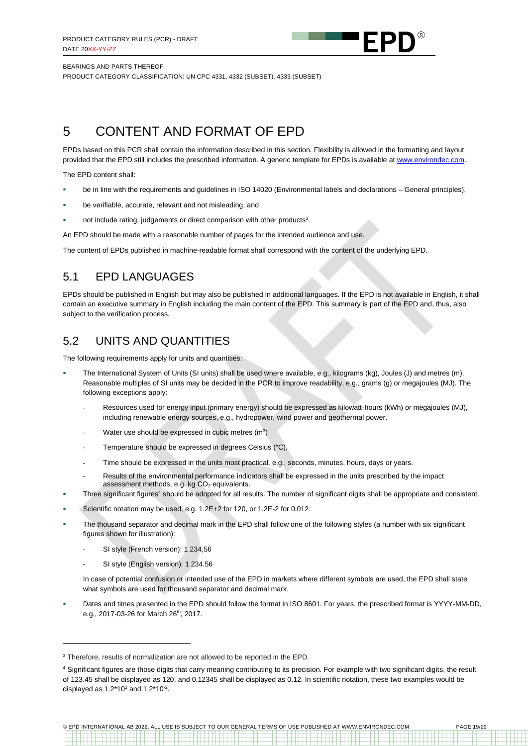

PRODUCT CATEGORY CLASSIFICATION: UN CPC 4331, 4332 (SUBSET), 4333 (SUBSET)

## <span id="page-18-0"></span>5 CONTENT AND FORMAT OF EPD

EPDs based on this PCR shall contain the information described in this section. Flexibility is allowed in the formatting and layout provided that the EPD still includes the prescribed information. A generic template for EPDs is available at [www.environdec.com.](http://www.environdec.com/)

The EPD content shall:

- be in line with the requirements and guidelines in ISO 14020 (Environmental labels and declarations General principles),
- be verifiable, accurate, relevant and not misleading, and
- **•** not include rating, judgements or direct comparison with other products<sup>3</sup>.

An EPD should be made with a reasonable number of pages for the intended audience and use.

The content of EPDs published in machine-readable format shall correspond with the content of the underlying EPD.

### <span id="page-18-1"></span>5.1 EPD LANGUAGES

EPDs should be published in English but may also be published in additional languages. If the EPD is not available in English, it shall contain an executive summary in English including the main content of the EPD. This summary is part of the EPD and, thus, also subject to the verification process.

### <span id="page-18-2"></span>5.2 UNITS AND QUANTITIES

The following requirements apply for units and quantities:

- The International System of Units (SI units) shall be used where available, e.g., kilograms (kg), Joules (J) and metres (m). Reasonable multiples of SI units may be decided in the PCR to improve readability, e.g., grams (g) or megajoules (MJ). The following exceptions apply:
	- Resources used for energy input (primary energy) should be expressed as kilowatt-hours (kWh) or megajoules (MJ), including renewable energy sources, e.g., hydropower, wind power and geothermal power.
	- Water use should be expressed in cubic metres  $(m^3)$
	- Temperature should be expressed in degrees Celsius (°C),
	- Time should be expressed in the units most practical, e.g., seconds, minutes, hours, days or years.
	- Results of the environmental performance indicators shall be expressed in the units prescribed by the impact assessment methods, e.g. kg  $CO<sub>2</sub>$  equivalents.
	- Three significant figures<sup>4</sup> should be adopted for all results. The number of significant digits shall be appropriate and consistent.
- Scientific notation may be used, e.g. 1.2E+2 for 120, or 1.2E-2 for 0.012.
- The thousand separator and decimal mark in the EPD shall follow one of the following styles (a number with six significant figures shown for illustration):
	- SI style (French version): 1 234.56
	- SI style (English version): 1 234.56

In case of potential confusion or intended use of the EPD in markets where different symbols are used, the EPD shall state what symbols are used for thousand separator and decimal mark.

Dates and times presented in the EPD should follow the format in ISO 8601. For years, the prescribed format is YYYY-MM-DD, e.g., 2017-03-26 for March 26<sup>th</sup>, 2017.

<sup>&</sup>lt;sup>3</sup> Therefore, results of normalization are not allowed to be reported in the FPD.

<sup>&</sup>lt;sup>4</sup> Significant figures are those digits that carry meaning contributing to its precision. For example with two significant digits, the result of 123.45 shall be displayed as 120, and 0.12345 shall be displayed as 0.12. In scientific notation, these two examples would be displayed as  $1.2*10^2$  and  $1.2*10^2$ .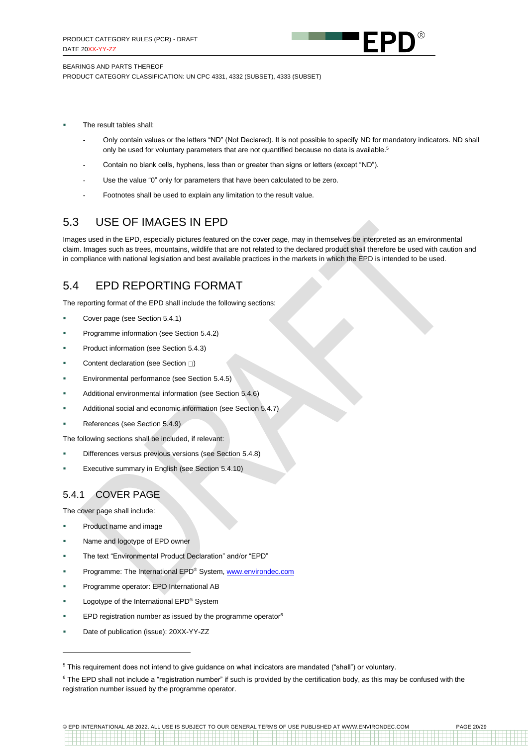

PRODUCT CATEGORY CLASSIFICATION: UN CPC 4331, 4332 (SUBSET), 4333 (SUBSET)

- The result tables shall:
	- Only contain values or the letters "ND" (Not Declared). It is not possible to specify ND for mandatory indicators. ND shall only be used for voluntary parameters that are not quantified because no data is available.<sup>5</sup>
	- Contain no blank cells, hyphens, less than or greater than signs or letters (except "ND").
	- Use the value "0" only for parameters that have been calculated to be zero.
	- Footnotes shall be used to explain any limitation to the result value.

### <span id="page-19-0"></span>5.3 USE OF IMAGES IN EPD

Images used in the EPD, especially pictures featured on the cover page, may in themselves be interpreted as an environmental claim. Images such as trees, mountains, wildlife that are not related to the declared product shall therefore be used with caution and in compliance with national legislation and best available practices in the markets in which the EPD is intended to be used.

### <span id="page-19-1"></span>5.4 EPD REPORTING FORMAT

The reporting format of the EPD shall include the following sections:

- Cover page (see Section [5.4.1\)](#page-19-2)
- Programme information (see Section [5.4.2\)](#page-20-0)
- Product information (see Section [5.4.3\)](#page-21-0)
- Content declaration (see Section  $\square$ [\)](#page-21-1)
- Environmental performance (see Section [5.4.5\)](#page-23-0)
- Additional environmental information (see Section [5.4.6\)](#page-23-1)
- Additional social and economic information (see Sectio[n 5.4.7\)](#page-24-1)
- References (see Section [5.4.9\)](#page-24-2)

The following sections shall be included, if relevant:

- Differences versus previous versions (see Section [5.4.8\)](#page-24-3)
- Executive summary in English (see Section [5.4.10\)](#page-24-4)

### <span id="page-19-2"></span>5.4.1 COVER PAGE

The cover page shall include:

- Product name and image
- Name and logotype of EPD owner
- The text "Environmental Product Declaration" and/or "EPD"
- Programme: The International EPD® System[, www.environdec.com](http://www.environdec.com/)
- Programme operator: EPD International AB
- Logotype of the International EPD® System
- EPD registration number as issued by the programme operator $6$
- Date of publication (issue): 20XX-YY-ZZ

<sup>5</sup> This requirement does not intend to give guidance on what indicators are mandated ("shall") or voluntary.

<sup>&</sup>lt;sup>6</sup> The EPD shall not include a "registration number" if such is provided by the certification body, as this may be confused with the registration number issued by the programme operator.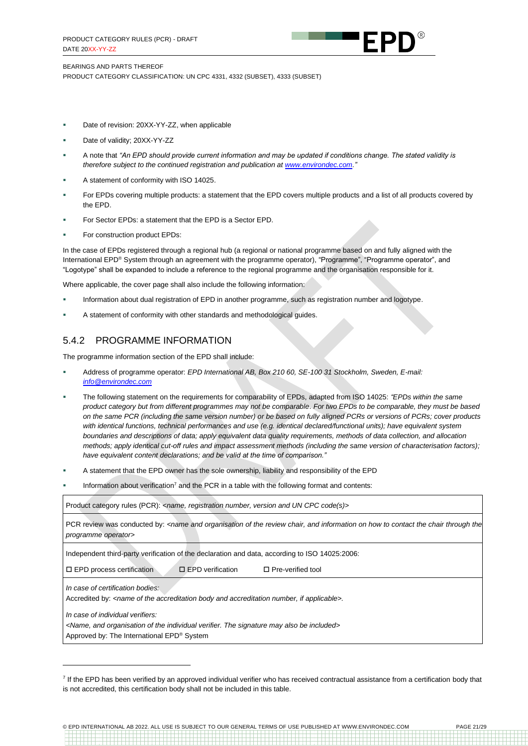

BEARINGS AND PARTS THEREOF PRODUCT CATEGORY CLASSIFICATION: UN CPC 4331, 4332 (SUBSET), 4333 (SUBSET)

- Date of revision: 20XX-YY-ZZ, when applicable
- Date of validity; 20XX-YY-ZZ
- A note that *"An EPD should provide current information and may be updated if conditions change. The stated validity is therefore subject to the continued registration and publication a[t www.environdec.com."](http://www.environdec.com/)*
- A statement of conformity with ISO 14025.
- For EPDs covering multiple products: a statement that the EPD covers multiple products and a list of all products covered by the EPD.
- For Sector EPDs: a statement that the EPD is a Sector EPD.
- For construction product EPDs:

In the case of EPDs registered through a regional hub (a regional or national programme based on and fully aligned with the International EPD® System through an agreement with the programme operator), "Programme", "Programme operator", and "Logotype" shall be expanded to include a reference to the regional programme and the organisation responsible for it.

Where applicable, the cover page shall also include the following information:

- Information about dual registration of EPD in another programme, such as registration number and logotype.
- A statement of conformity with other standards and methodological guides.

#### <span id="page-20-0"></span>5.4.2 PROGRAMME INFORMATION

The programme information section of the EPD shall include:

- Address of programme operator: *EPD International AB, Box 210 60, SE-100 31 Stockholm, Sweden, E-mail: [info@environdec.com](mailto:info@environdec.com)*
- The following statement on the requirements for comparability of EPDs, adapted from ISO 14025: *"EPDs within the same product category but from different programmes may not be comparable*. *For two EPDs to be comparable, they must be based on the same PCR (including the same version number) or be based on fully aligned PCRs or versions of PCRs; cover products with identical functions, technical performances and use (e.g. identical declared/functional units); have equivalent system boundaries and descriptions of data; apply equivalent data quality requirements, methods of data collection, and allocation methods; apply identical cut-off rules and impact assessment methods (including the same version of characterisation factors); have equivalent content declarations; and be valid at the time of comparison."*
- A statement that the EPD owner has the sole ownership, liability and responsibility of the EPD
- Information about verification<sup>7</sup> and the PCR in a table with the following format and contents:

Product category rules (PCR): *<name, registration number, version and UN CPC code(s)>*

PCR review was conducted by: <name and organisation of the review chair, and information on how to contact the chair through the *programme operator>*

Independent third-party verification of the declaration and data, according to ISO 14025:2006:

 $\square$  EPD process certification  $\square$  EPD verification  $\square$  Pre-verified tool

*In case of certification bodies:*

Accredited by: *<name of the accreditation body and accreditation number, if applicable>.*

*In case of individual verifiers:*

*<Name, and organisation of the individual verifier. The signature may also be included>*

Approved by: The International EPD® System

© EPD INTERNATIONAL AB 2022. ALL USE IS SUBJECT TO OUR GENERAL TERMS OF USE PUBLISHED AT WWW.ENVIRONDEC.COM PAGE 21/29

<sup>&</sup>lt;sup>7</sup> If the EPD has been verified by an approved individual verifier who has received contractual assistance from a certification body that is not accredited, this certification body shall not be included in this table.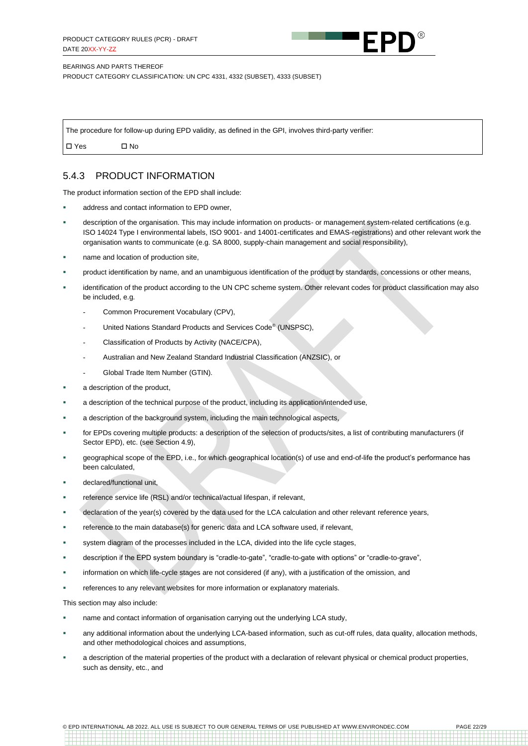

PRODUCT CATEGORY CLASSIFICATION: UN CPC 4331, 4332 (SUBSET), 4333 (SUBSET)

The procedure for follow-up during EPD validity, as defined in the GPI, involves third-party verifier: Yes No

### <span id="page-21-0"></span>5.4.3 PRODUCT INFORMATION

The product information section of the EPD shall include:

- address and contact information to EPD owner.
- description of the organisation. This may include information on products- or management system-related certifications (e.g. ISO 14024 Type I environmental labels, ISO 9001- and 14001-certificates and EMAS-registrations) and other relevant work the organisation wants to communicate (e.g. SA 8000, supply-chain management and social responsibility),
- name and location of production site,
- product identification by name, and an unambiguous identification of the product by standards, concessions or other means,
- identification of the product according to the UN CPC scheme system. Other relevant codes for product classification may also be included, e.g.
	- Common Procurement Vocabulary (CPV),
	- United Nations Standard Products and Services Code<sup>®</sup> (UNSPSC),
	- Classification of Products by Activity (NACE/CPA),
	- Australian and New Zealand Standard Industrial Classification (ANZSIC), or
	- Global Trade Item Number (GTIN).
- a description of the product.
- a description of the technical purpose of the product, including its application/intended use,
- a description of the background system, including the main technological aspects,
- for EPDs covering multiple products: a description of the selection of products/sites, a list of contributing manufacturers (if Sector EPD), etc. (see Sectio[n 4.9\)](#page-16-1),
- geographical scope of the EPD, i.e., for which geographical location(s) of use and end-of-life the product's performance has been calculated,
- declared/functional unit,
- reference service life (RSL) and/or technical/actual lifespan, if relevant,
- declaration of the year(s) covered by the data used for the LCA calculation and other relevant reference years,
- reference to the main database(s) for generic data and LCA software used, if relevant,
- system diagram of the processes included in the LCA, divided into the life cycle stages,
- description if the EPD system boundary is "cradle-to-gate", "cradle-to-gate with options" or "cradle-to-grave",
- information on which life-cycle stages are not considered (if any), with a justification of the omission, and
- references to any relevant websites for more information or explanatory materials.

This section may also include:

- <span id="page-21-1"></span>**■** name and contact information of organisation carrying out the underlying LCA study,
- any additional information about the underlying LCA-based information, such as cut-off rules, data quality, allocation methods, and other methodological choices and assumptions,
- a description of the material properties of the product with a declaration of relevant physical or chemical product properties, such as density, etc., and

© EPD INTERNATIONAL AB 2022. ALL USE IS SUBJECT TO OUR GENERAL TERMS OF USE PUBLISHED AT WWW.ENVIRONDEC.COM PAGE 22/29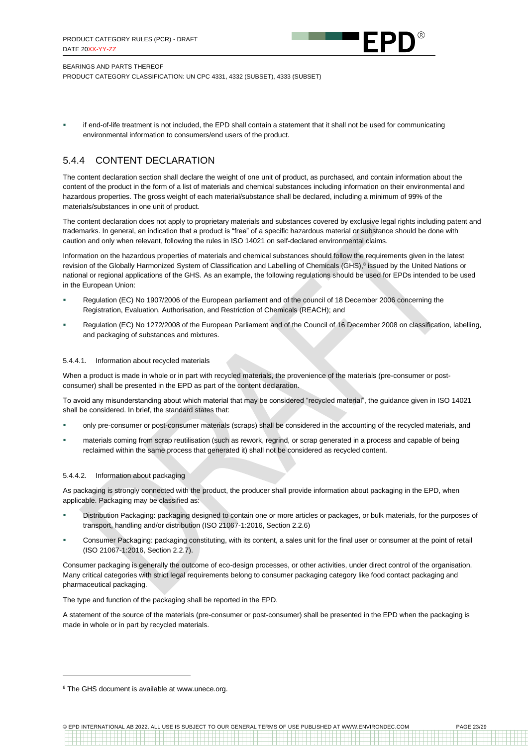

PRODUCT CATEGORY CLASSIFICATION: UN CPC 4331, 4332 (SUBSET), 4333 (SUBSET)

if end-of-life treatment is not included, the EPD shall contain a statement that it shall not be used for communicating environmental information to consumers/end users of the product.

### 5.4.4 CONTENT DECLARATION

The content declaration section shall declare the weight of one unit of product, as purchased, and contain information about the content of the product in the form of a list of materials and chemical substances including information on their environmental and hazardous properties. The gross weight of each material/substance shall be declared, including a minimum of 99% of the materials/substances in one unit of product.

The content declaration does not apply to proprietary materials and substances covered by exclusive legal rights including patent and trademarks. In general, an indication that a product is "free" of a specific hazardous material or substance should be done with caution and only when relevant, following the rules in ISO 14021 on self-declared environmental claims.

Information on the hazardous properties of materials and chemical substances should follow the requirements given in the latest revision of the Globally Harmonized System of Classification and Labelling of Chemicals (GHS),<sup>8</sup> issued by the United Nations or national or regional applications of the GHS. As an example, the following regulations should be used for EPDs intended to be used in the European Union:

- Regulation (EC) No 1907/2006 of the European parliament and of the council of 18 December 2006 concerning the Registration, Evaluation, Authorisation, and Restriction of Chemicals (REACH); and
- Regulation (EC) No 1272/2008 of the European Parliament and of the Council of 16 December 2008 on classification, labelling, and packaging of substances and mixtures.

#### 5.4.4.1. Information about recycled materials

When a product is made in whole or in part with recycled materials, the provenience of the materials (pre-consumer or postconsumer) shall be presented in the EPD as part of the content declaration.

To avoid any misunderstanding about which material that may be considered "recycled material", the guidance given in ISO 14021 shall be considered. In brief, the standard states that:

- only pre-consumer or post-consumer materials (scraps) shall be considered in the accounting of the recycled materials, and
- materials coming from scrap reutilisation (such as rework, regrind, or scrap generated in a process and capable of being reclaimed within the same process that generated it) shall not be considered as recycled content.

#### 5.4.4.2. Information about packaging

As packaging is strongly connected with the product, the producer shall provide information about packaging in the EPD, when applicable. Packaging may be classified as:

- Distribution Packaging: packaging designed to contain one or more articles or packages, or bulk materials, for the purposes of transport, handling and/or distribution (ISO 21067-1:2016, Section 2.2.6)
- Consumer Packaging: packaging constituting, with its content, a sales unit for the final user or consumer at the point of retail (ISO 21067-1:2016, Section 2.2.7).

Consumer packaging is generally the outcome of eco-design processes, or other activities, under direct control of the organisation. Many critical categories with strict legal requirements belong to consumer packaging category like food contact packaging and pharmaceutical packaging.

The type and function of the packaging shall be reported in the EPD.

A statement of the source of the materials (pre-consumer or post-consumer) shall be presented in the EPD when the packaging is made in whole or in part by recycled materials.

<sup>&</sup>lt;sup>8</sup> The GHS document is available a[t www.unece.org.](http://www.unece.org/)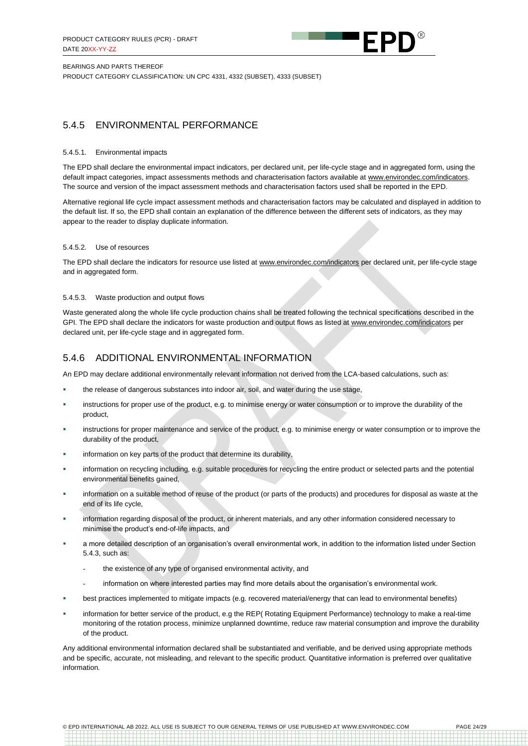

PRODUCT CATEGORY CLASSIFICATION: UN CPC 4331, 4332 (SUBSET), 4333 (SUBSET)

### <span id="page-23-0"></span>5.4.5 ENVIRONMENTAL PERFORMANCE

#### 5.4.5.1. Environmental impacts

The EPD shall declare the environmental impact indicators, per declared unit, per life-cycle stage and in aggregated form, using the default impact categories, impact assessments methods and characterisation factors available at [www.environdec.com/indicators.](http://www.environdec.com/indicators) The source and version of the impact assessment methods and characterisation factors used shall be reported in the EPD.

Alternative regional life cycle impact assessment methods and characterisation factors may be calculated and displayed in addition to the default list. If so, the EPD shall contain an explanation of the difference between the different sets of indicators, as they may appear to the reader to display duplicate information.

#### 5.4.5.2. Use of resources

The EPD shall declare the indicators for resource use listed a[t www.environdec.com/indicators](http://www.environdec.com/indicators) per declared unit, per life-cycle stage and in aggregated form.

#### 5.4.5.3. Waste production and output flows

Waste generated along the whole life cycle production chains shall be treated following the technical specifications described in the GPI. The EPD shall declare the indicators for waste production and output flows as listed at [www.environdec.com/indicators](http://www.environdec.com/indicators) per declared unit, per life-cycle stage and in aggregated form.

#### <span id="page-23-1"></span>5.4.6 ADDITIONAL ENVIRONMENTAL INFORMATION

An EPD may declare additional environmentally relevant information not derived from the LCA-based calculations, such as:

- the release of dangerous substances into indoor air, soil, and water during the use stage,
- instructions for proper use of the product, e.g. to minimise energy or water consumption or to improve the durability of the product,
- instructions for proper maintenance and service of the product, e.g. to minimise energy or water consumption or to improve the durability of the product,
- information on key parts of the product that determine its durability,
- information on recycling including, e.g. suitable procedures for recycling the entire product or selected parts and the potential environmental benefits gained,
- information on a suitable method of reuse of the product (or parts of the products) and procedures for disposal as waste at the end of its life cycle,
- information regarding disposal of the product, or inherent materials, and any other information considered necessary to minimise the product's end-of-life impacts, and
- a more detailed description of an organisation's overall environmental work, in addition to the information listed under Section [5.4.3,](#page-21-0) such as:
	- the existence of any type of organised environmental activity, and
	- information on where interested parties may find more details about the organisation's environmental work.
- best practices implemented to mitigate impacts (e.g. recovered material/energy that can lead to environmental benefits)
- information for better service of the product, e.g the REP( Rotating Equipment Performance) technology to make a real-time monitoring of the rotation process, minimize unplanned downtime, reduce raw material consumption and improve the durability of the product.

Any additional environmental information declared shall be substantiated and verifiable, and be derived using appropriate methods and be specific, accurate, not misleading, and relevant to the specific product. Quantitative information is preferred over qualitative information.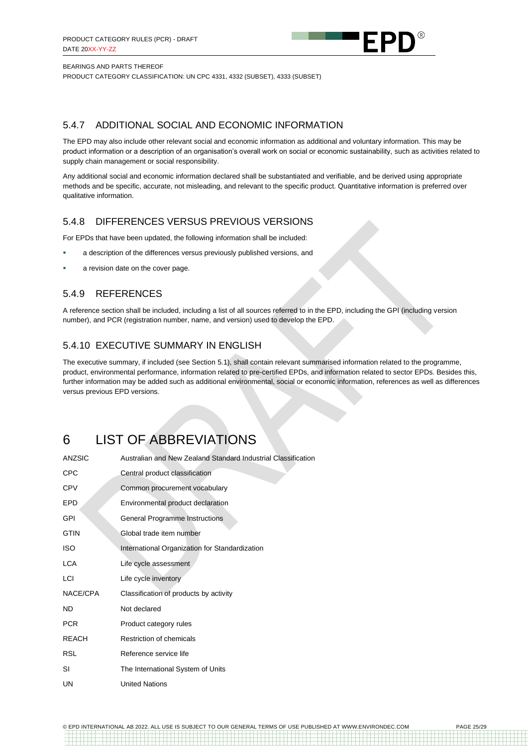

PRODUCT CATEGORY CLASSIFICATION: UN CPC 4331, 4332 (SUBSET), 4333 (SUBSET)

### <span id="page-24-1"></span>5.4.7 ADDITIONAL SOCIAL AND ECONOMIC INFORMATION

The EPD may also include other relevant social and economic information as additional and voluntary information. This may be product information or a description of an organisation's overall work on social or economic sustainability, such as activities related to supply chain management or social responsibility.

Any additional social and economic information declared shall be substantiated and verifiable, and be derived using appropriate methods and be specific, accurate, not misleading, and relevant to the specific product. Quantitative information is preferred over qualitative information.

### <span id="page-24-3"></span>5.4.8 DIFFERENCES VERSUS PREVIOUS VERSIONS

For EPDs that have been updated, the following information shall be included:

- a description of the differences versus previously published versions, and
- a revision date on the cover page.

### <span id="page-24-2"></span>5.4.9 REFERENCES

A reference section shall be included, including a list of all sources referred to in the EPD, including the GPI (including version number), and PCR (registration number, name, and version) used to develop the EPD.

### <span id="page-24-4"></span>5.4.10 EXECUTIVE SUMMARY IN ENGLISH

The executive summary, if included (see Sectio[n 5.1\)](#page-18-1), shall contain relevant summarised information related to the programme, product, environmental performance, information related to pre-certified EPDs, and information related to sector EPDs. Besides this, further information may be added such as additional environmental, social or economic information, references as well as differences versus previous EPD versions.

## <span id="page-24-0"></span>6 LIST OF ABBREVIATIONS

| <b>ANZSIC</b> | Australian and New Zealand Standard Industrial Classification |
|---------------|---------------------------------------------------------------|
| <b>CPC</b>    | Central product classification                                |
| <b>CPV</b>    | Common procurement vocabulary                                 |
| <b>EPD</b>    | Environmental product declaration                             |
| GPI           | General Programme Instructions                                |
| <b>GTIN</b>   | Global trade item number                                      |
| <b>ISO</b>    | International Organization for Standardization                |
| <b>LCA</b>    | Life cycle assessment                                         |
| LCI           | Life cycle inventory                                          |
| NACE/CPA      | Classification of products by activity                        |
| ND.           | Not declared                                                  |
| <b>PCR</b>    | Product category rules                                        |
| <b>REACH</b>  | Restriction of chemicals                                      |
| <b>RSL</b>    | Reference service life                                        |
| SI            | The International System of Units                             |
| UN            | <b>United Nations</b>                                         |

© EPD INTERNATIONAL AB 2022. ALL USE IS SUBJECT TO OUR GENERAL TERMS OF USE PUBLISHED AT WWW.ENVIRONDEC.COM PAGE 25/29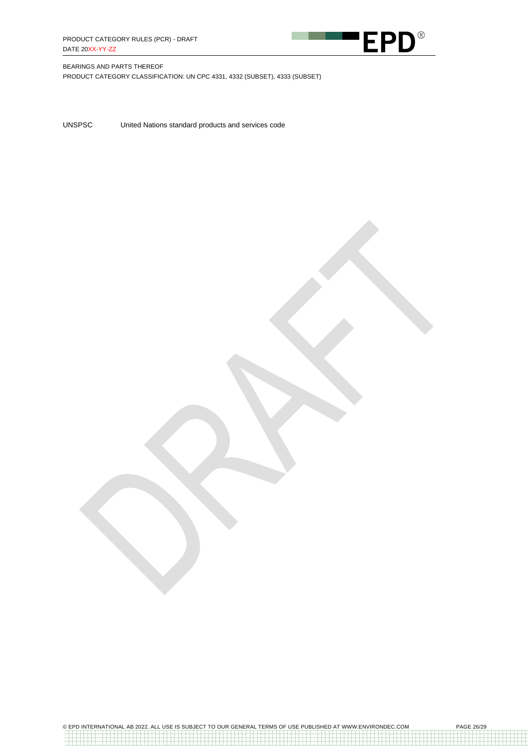

PRODUCT CATEGORY CLASSIFICATION: UN CPC 4331, 4332 (SUBSET), 4333 (SUBSET)

UNSPSC United Nations standard products and services code

© EPD INTERNATIONAL AB 2022. ALL USE IS SUBJECT TO OUR GENERAL TERMS OF USE PUBLISHED AT WWW.ENVIRONDEC.COM PAGE 26/29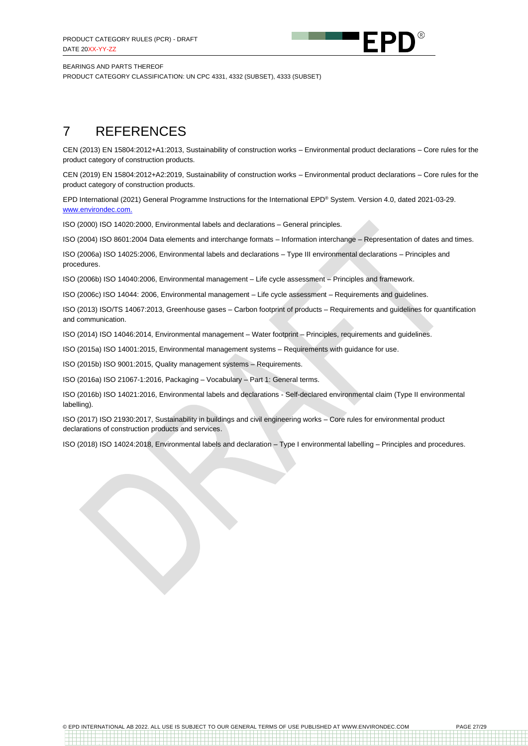

PRODUCT CATEGORY CLASSIFICATION: UN CPC 4331, 4332 (SUBSET), 4333 (SUBSET)

## <span id="page-26-0"></span>7 REFERENCES

CEN (2013) EN 15804:2012+A1:2013, Sustainability of construction works – Environmental product declarations – Core rules for the product category of construction products.

CEN (2019) EN 15804:2012+A2:2019, Sustainability of construction works – Environmental product declarations – Core rules for the product category of construction products.

EPD International (2021) General Programme Instructions for the International EPD® System. Version 4.0, dated 2021-03-29. [www.environdec.com.](http://www.environdec.com/)

ISO (2000) ISO 14020:2000, Environmental labels and declarations – General principles.

ISO (2004) ISO 8601:2004 Data elements and interchange formats – Information interchange – Representation of dates and times.

ISO (2006a) ISO 14025:2006, Environmental labels and declarations – Type III environmental declarations – Principles and procedures.

ISO (2006b) ISO 14040:2006, Environmental management – Life cycle assessment – Principles and framework.

ISO (2006c) ISO 14044: 2006, Environmental management – Life cycle assessment – Requirements and guidelines.

ISO (2013) ISO/TS 14067:2013, Greenhouse gases – Carbon footprint of products – Requirements and guidelines for quantification and communication.

ISO (2014) ISO 14046:2014, Environmental management – Water footprint – Principles, requirements and guidelines.

ISO (2015a) ISO 14001:2015, Environmental management systems – Requirements with guidance for use.

ISO (2015b) ISO 9001:2015, Quality management systems – Requirements.

ISO (2016a) ISO 21067-1:2016, Packaging – Vocabulary – Part 1: General terms.

ISO (2016b) ISO 14021:2016, Environmental labels and declarations - Self-declared environmental claim (Type II environmental labelling).

ISO (2017) ISO 21930:2017, Sustainability in buildings and civil engineering works – Core rules for environmental product declarations of construction products and services.

ISO (2018) ISO 14024:2018, Environmental labels and declaration – Type I environmental labelling – Principles and procedures.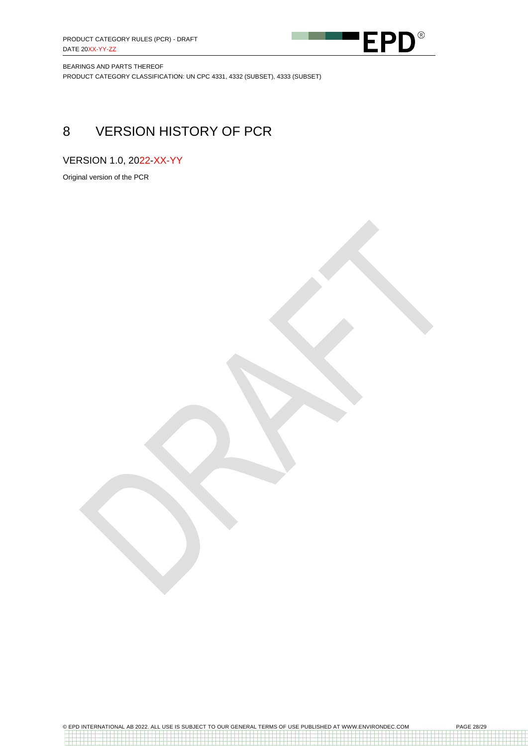

BEARINGS AND PARTS THEREOF PRODUCT CATEGORY CLASSIFICATION: UN CPC 4331, 4332 (SUBSET), 4333 (SUBSET)

## <span id="page-27-0"></span>8 VERSION HISTORY OF PCR

VERSION 1.0, 2022-XX-YY

Original version of the PCR

© EPD INTERNATIONAL AB 2022. ALL USE IS SUBJECT TO OUR GENERAL TERMS OF USE PUBLISHED AT WWW.ENVIRONDEC.COM PAGE 28/29